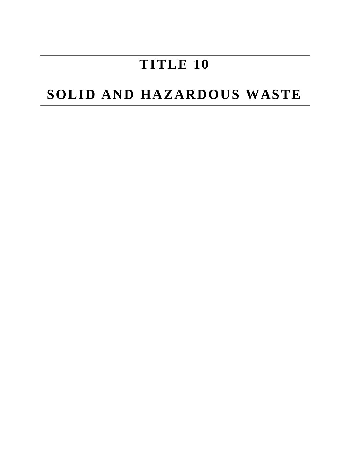# **TITLE 10**

## **SOLID AND HAZARDOUS WASTE**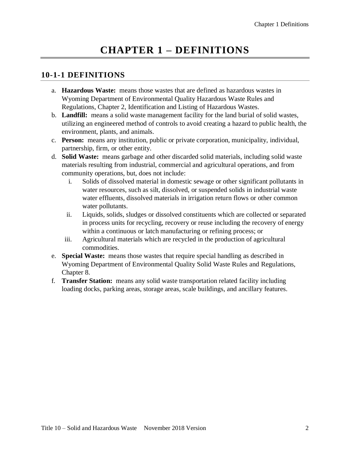## **CHAPTER 1 – DEFINITIONS**

#### **10-1-1 DEFINITIONS**

- a. **Hazardous Waste:** means those wastes that are defined as hazardous wastes in Wyoming Department of Environmental Quality Hazardous Waste Rules and Regulations, Chapter 2, Identification and Listing of Hazardous Wastes.
- b. **Landfill:** means a solid waste management facility for the land burial of solid wastes, utilizing an engineered method of controls to avoid creating a hazard to public health, the environment, plants, and animals.
- c. **Person:** means any institution, public or private corporation, municipality, individual, partnership, firm, or other entity.
- d. **Solid Waste:** means garbage and other discarded solid materials, including solid waste materials resulting from industrial, commercial and agricultural operations, and from community operations, but, does not include:
	- i. Solids of dissolved material in domestic sewage or other significant pollutants in water resources, such as silt, dissolved, or suspended solids in industrial waste water effluents, dissolved materials in irrigation return flows or other common water pollutants.
	- ii. Liquids, solids, sludges or dissolved constituents which are collected or separated in process units for recycling, recovery or reuse including the recovery of energy within a continuous or latch manufacturing or refining process; or
	- iii. Agricultural materials which are recycled in the production of agricultural commodities.
- e. **Special Waste:** means those wastes that require special handling as described in Wyoming Department of Environmental Quality Solid Waste Rules and Regulations, Chapter 8.
- f. **Transfer Station:** means any solid waste transportation related facility including loading docks, parking areas, storage areas, scale buildings, and ancillary features.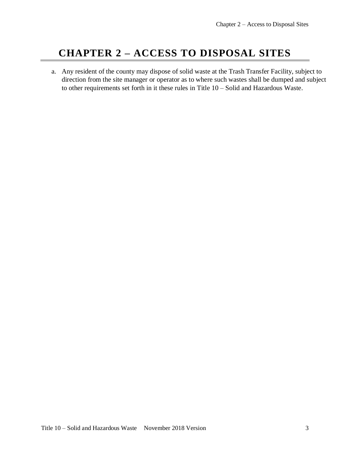### **CHAPTER 2 – ACCESS TO DISPOSAL SITES**

a. Any resident of the county may dispose of solid waste at the Trash Transfer Facility, subject to direction from the site manager or operator as to where such wastes shall be dumped and subject to other requirements set forth in it these rules in Title 10 – Solid and Hazardous Waste.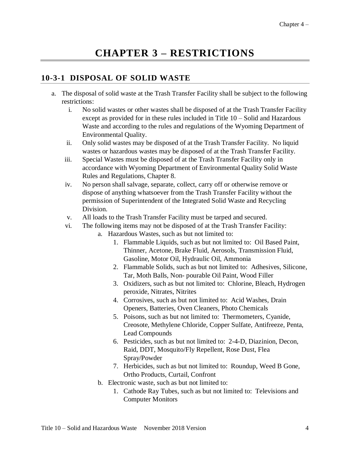### **CHAPTER 3 – RESTRICTIONS**

### **10-3-1 DISPOSAL OF SOLID WASTE**

- a. The disposal of solid waste at the Trash Transfer Facility shall be subject to the following restrictions:
	- i. No solid wastes or other wastes shall be disposed of at the Trash Transfer Facility except as provided for in these rules included in Title 10 – Solid and Hazardous Waste and according to the rules and regulations of the Wyoming Department of Environmental Quality.
	- ii. Only solid wastes may be disposed of at the Trash Transfer Facility. No liquid wastes or hazardous wastes may be disposed of at the Trash Transfer Facility.
	- iii. Special Wastes must be disposed of at the Trash Transfer Facility only in accordance with Wyoming Department of Environmental Quality Solid Waste Rules and Regulations, Chapter 8.
	- iv. No person shall salvage, separate, collect, carry off or otherwise remove or dispose of anything whatsoever from the Trash Transfer Facility without the permission of Superintendent of the Integrated Solid Waste and Recycling Division.
	- v. All loads to the Trash Transfer Facility must be tarped and secured.
	- vi. The following items may not be disposed of at the Trash Transfer Facility:
		- a. Hazardous Wastes, such as but not limited to:
			- 1. Flammable Liquids, such as but not limited to: Oil Based Paint, Thinner, Acetone, Brake Fluid, Aerosols, Transmission Fluid, Gasoline, Motor Oil, Hydraulic Oil, Ammonia
			- 2. Flammable Solids, such as but not limited to: Adhesives, Silicone, Tar, Moth Balls, Non- pourable Oil Paint, Wood Filler
			- 3. Oxidizers, such as but not limited to: Chlorine, Bleach, Hydrogen peroxide, Nitrates, Nitrites
			- 4. Corrosives, such as but not limited to: Acid Washes, Drain Openers, Batteries, Oven Cleaners, Photo Chemicals
			- 5. Poisons, such as but not limited to: Thermometers, Cyanide, Creosote, Methylene Chloride, Copper Sulfate, Antifreeze, Penta, Lead Compounds
			- 6. Pesticides, such as but not limited to: 2-4-D, Diazinion, Decon, Raid, DDT, Mosquito/Fly Repellent, Rose Dust, Flea Spray/Powder
			- 7. Herbicides, such as but not limited to: Roundup, Weed B Gone, Ortho Products, Curtail, Confront
		- b. Electronic waste, such as but not limited to:
			- 1. Cathode Ray Tubes, such as but not limited to: Televisions and Computer Monitors